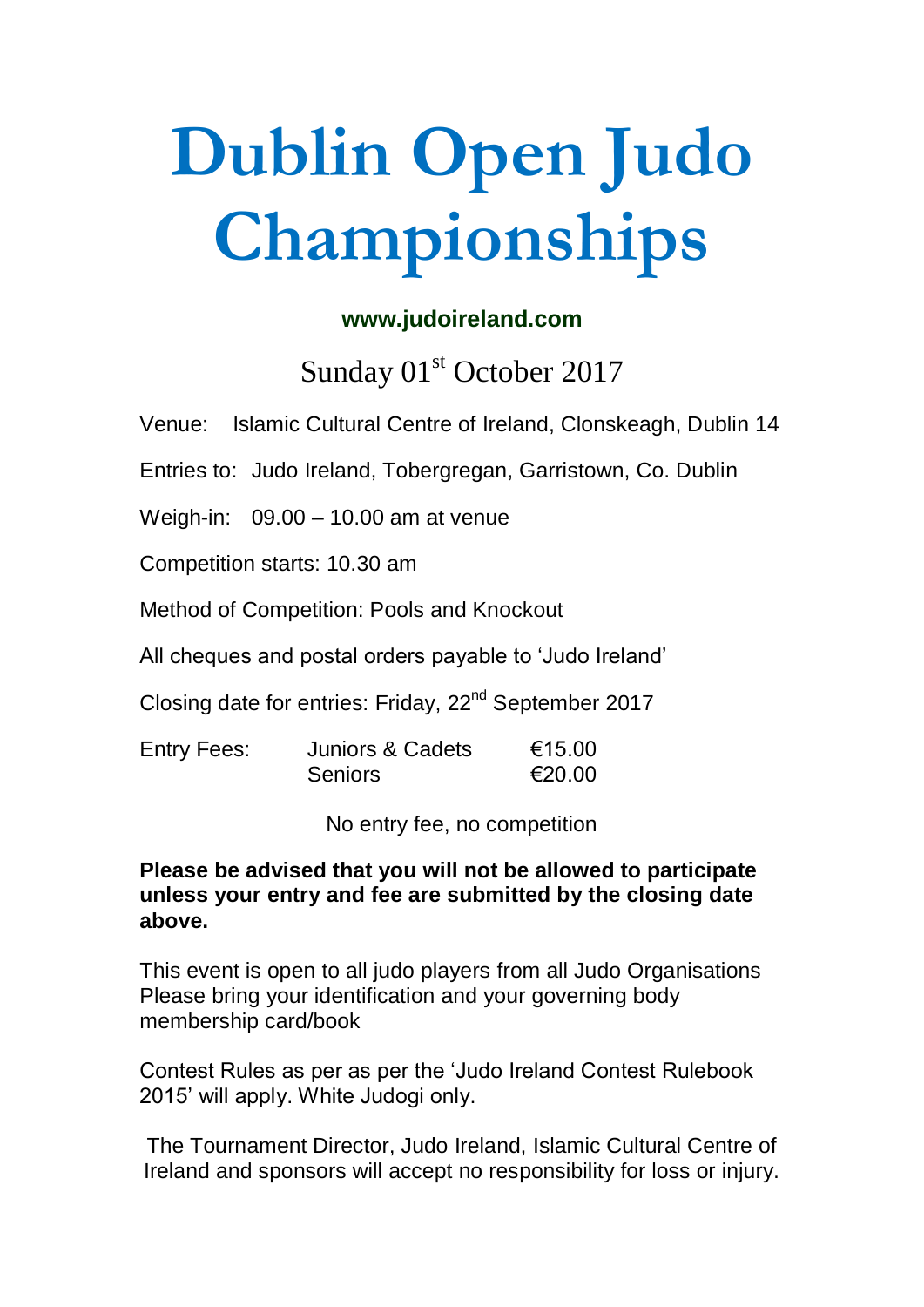# **Dublin Open Judo Championships**

#### **www.judoireland.com**

Sunday 01<sup>st</sup> October 2017

Venue: Islamic Cultural Centre of Ireland, Clonskeagh, Dublin 14

Entries to: Judo Ireland, Tobergregan, Garristown, Co. Dublin

Weigh-in: 09.00 – 10.00 am at venue

Competition starts: 10.30 am

Method of Competition: Pools and Knockout

All cheques and postal orders payable to 'Judo Ireland'

Closing date for entries: Friday, 22<sup>nd</sup> September 2017

| <b>Entry Fees:</b> | Juniors & Cadets | €15.00 |
|--------------------|------------------|--------|
|                    | <b>Seniors</b>   | €20.00 |

No entry fee, no competition

#### **Please be advised that you will not be allowed to participate unless your entry and fee are submitted by the closing date above.**

This event is open to all judo players from all Judo Organisations Please bring your identification and your governing body membership card/book

Contest Rules as per as per the 'Judo Ireland Contest Rulebook 2015' will apply. White Judogi only.

The Tournament Director, Judo Ireland, Islamic Cultural Centre of Ireland and sponsors will accept no responsibility for loss or injury.